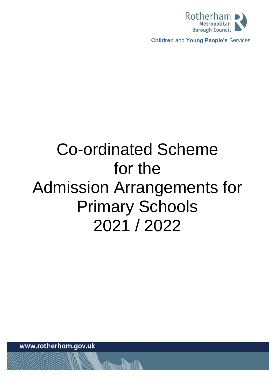

**Children** and **Young People's** Services

# Co-ordinated Scheme for the Admission Arrangements for Primary Schools 2021 / 2022

www.rotherham.gov.uk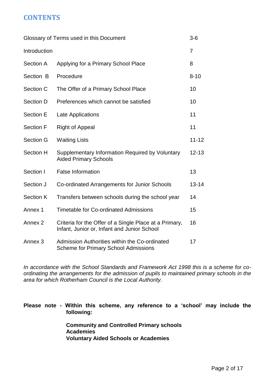# **CONTENTS**

| Glossary of Terms used in this Document |                                                                                                       |                |
|-----------------------------------------|-------------------------------------------------------------------------------------------------------|----------------|
| Introduction                            |                                                                                                       | $\overline{7}$ |
| Section A                               | Applying for a Primary School Place                                                                   | 8              |
| Section B                               | Procedure                                                                                             | $8 - 10$       |
| Section C                               | The Offer of a Primary School Place                                                                   | 10             |
| Section D                               | Preferences which cannot be satisfied                                                                 | 10             |
| Section E                               | Late Applications                                                                                     | 11             |
| <b>Section F</b>                        | <b>Right of Appeal</b>                                                                                | 11             |
| Section G                               | <b>Waiting Lists</b>                                                                                  | $11 - 12$      |
| Section H                               | Supplementary Information Required by Voluntary<br><b>Aided Primary Schools</b>                       | $12 - 13$      |
| Section I                               | <b>False Information</b>                                                                              | 13             |
| Section J                               | Co-ordinated Arrangements for Junior Schools                                                          |                |
| <b>Section K</b>                        | Transfers between schools during the school year                                                      | 14             |
| Annex 1                                 | <b>Timetable for Co-ordinated Admissions</b>                                                          | 15             |
| Annex <sub>2</sub>                      | Criteria for the Offer of a Single Place at a Primary,<br>Infant, Junior or, Infant and Junior School |                |
| Annex 3                                 | Admission Authorities within the Co-ordinated<br><b>Scheme for Primary School Admissions</b>          | 17             |

*In accordance with the School Standards and Framework Act 1998 this is a scheme for coordinating the arrangements for the admission of pupils to maintained primary schools in the area for which Rotherham Council is the Local Authority.* 

## **Please note - Within this scheme, any reference to a 'school' may include the following:**

**Community and Controlled Primary schools Academies Voluntary Aided Schools or Academies**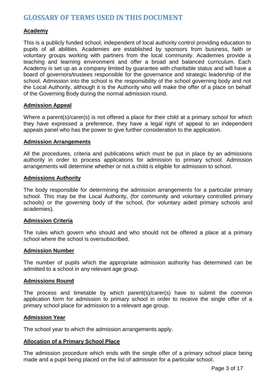# **GLOSSARY OF TERMS USED IN THIS DOCUMENT**

## **Academy**

This is a publicly funded school, independent of local authority control providing education to pupils of all abilities. Academies are established by sponsors from business, faith or voluntary groups working with partners from the local community. Academies provide a teaching and learning environment and offer a broad and balanced curriculum. Each Academy is set up as a company limited by guarantee with charitable status and will have a board of governors/trustees responsible for the governance and strategic leadership of the school. Admission into the school is the responsibility of the school governing body and not the Local Authority, although it is the Authority who will make the offer of a place on behalf of the Governing Body during the normal admission round.

### **Admission Appeal**

Where a parent(s)/carer(s) is not offered a place for their child at a primary school for which they have expressed a preference, they have a legal right of appeal to an independent appeals panel who has the power to give further consideration to the application.

#### **Admission Arrangements**

All the procedures, criteria and publications which must be put in place by an admissions authority in order to process applications for admission to primary school. Admission arrangements will determine whether or not a child is eligible for admission to school.

#### **Admissions Authority**

The body responsible for determining the admission arrangements for a particular primary school. This may be the Local Authority, (for community and voluntary controlled primary schools) or the governing body of the school, (for voluntary aided primary schools and academies).

#### **Admission Criteria**

The rules which govern who should and who should not be offered a place at a primary school where the school is oversubscribed.

#### **Admission Number**

The number of pupils which the appropriate admission authority has determined can be admitted to a school in any relevant age group.

#### **Admissions Round**

The process and timetable by which parent(s)/carer(s) have to submit the common application form for admission to primary school in order to receive the single offer of a primary school place for admission to a relevant age group.

#### **Admission Year**

The school year to which the admission arrangements apply.

## **Allocation of a Primary School Place**

The admission procedure which ends with the single offer of a primary school place being made and a pupil being placed on the list of admission for a particular school.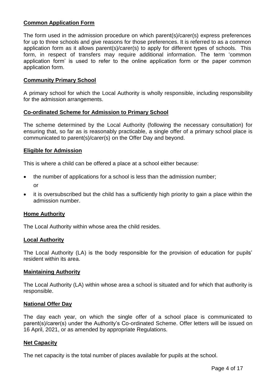## **Common Application Form**

The form used in the admission procedure on which parent(s)/carer(s) express preferences for up to three schools and give reasons for those preferences. It is referred to as a common application form as it allows parent(s)/carer(s) to apply for different types of schools. This form, in respect of transfers may require additional information. The term 'common application form' is used to refer to the online application form or the paper common application form.

## **Community Primary School**

A primary school for which the Local Authority is wholly responsible, including responsibility for the admission arrangements.

### **Co-ordinated Scheme for Admission to Primary School**

The scheme determined by the Local Authority (following the necessary consultation) for ensuring that, so far as is reasonably practicable, a single offer of a primary school place is communicated to parent(s)/carer(s) on the Offer Day and beyond.

### **Eligible for Admission**

This is where a child can be offered a place at a school either because:

- the number of applications for a school is less than the admission number; or
- it is oversubscribed but the child has a sufficiently high priority to gain a place within the admission number.

## **Home Authority**

The Local Authority within whose area the child resides.

#### **Local Authority**

The Local Authority (LA) is the body responsible for the provision of education for pupils' resident within its area.

#### **Maintaining Authority**

The Local Authority (LA) within whose area a school is situated and for which that authority is responsible.

#### **National Offer Day**

The day each year, on which the single offer of a school place is communicated to parent(s)/carer(s) under the Authority's Co-ordinated Scheme. Offer letters will be issued on 16 April, 2021, or as amended by appropriate Regulations.

#### **Net Capacity**

The net capacity is the total number of places available for pupils at the school.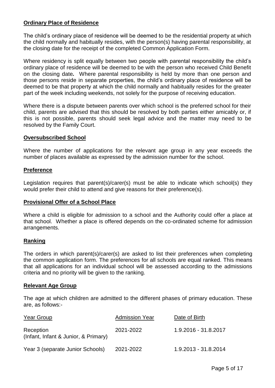## **Ordinary Place of Residence**

The child's ordinary place of residence will be deemed to be the residential property at which the child normally and habitually resides, with the person(s) having parental responsibility, at the closing date for the receipt of the completed Common Application Form.

Where residency is split equally between two people with parental responsibility the child's ordinary place of residence will be deemed to be with the person who received Child Benefit on the closing date*.* Where parental responsibility is held by more than one person and those persons reside in separate properties, the child's ordinary place of residence will be deemed to be that property at which the child normally and habitually resides for the greater part of the week including weekends, not solely for the purpose of receiving education.

Where there is a dispute between parents over which school is the preferred school for their child, parents are advised that this should be resolved by both parties either amicably or, if this is not possible, parents should seek legal advice and the matter may need to be resolved by the Family Court.

#### **Oversubscribed School**

Where the number of applications for the relevant age group in any year exceeds the number of places available as expressed by the admission number for the school.

### **Preference**

Legislation requires that parent(s)/carer(s) must be able to indicate which school(s) they would prefer their child to attend and give reasons for their preference(s).

## **Provisional Offer of a School Place**

Where a child is eligible for admission to a school and the Authority could offer a place at that school. Whether a place is offered depends on the co-ordinated scheme for admission arrangements.

#### **Ranking**

The orders in which parent(s)/carer(s) are asked to list their preferences when completing the common application form. The preferences for all schools are equal ranked. This means that all applications for an individual school will be assessed according to the admissions criteria and no priority will be given to the ranking.

#### **Relevant Age Group**

The age at which children are admitted to the different phases of primary education. These are, as follows:-

| <b>Year Group</b>                                 | <b>Admission Year</b> | Date of Birth        |
|---------------------------------------------------|-----------------------|----------------------|
| Reception<br>(Infant, Infant & Junior, & Primary) | 2021-2022             | 1.9.2016 - 31.8.2017 |
| Year 3 (separate Junior Schools)                  | 2021-2022             | 1.9.2013 - 31.8.2014 |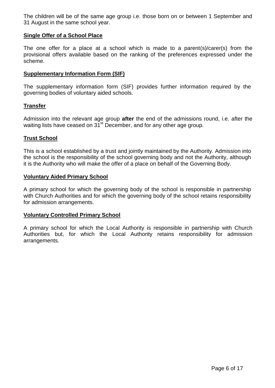The children will be of the same age group i.e. those born on or between 1 September and 31 August in the same school year.

## **Single Offer of a School Place**

The one offer for a place at a school which is made to a parent(s)/carer(s) from the provisional offers available based on the ranking of the preferences expressed under the scheme.

## **Supplementary Information Form (SIF)**

The supplementary information form (SIF) provides further information required by the governing bodies of voluntary aided schools.

## **Transfer**

Admission into the relevant age group **after** the end of the admissions round, i.e. after the waiting lists have ceased on 31<sup>st</sup> December, and for any other age group.

## **Trust School**

This is a school established by a trust and jointly maintained by the Authority. Admission into the school is the responsibility of the school governing body and not the Authority, although it is the Authority who will make the offer of a place on behalf of the Governing Body.

## **Voluntary Aided Primary School**

A primary school for which the governing body of the school is responsible in partnership with Church Authorities and for which the governing body of the school retains responsibility for admission arrangements.

## **Voluntary Controlled Primary School**

A primary school for which the Local Authority is responsible in partnership with Church Authorities but, for which the Local Authority retains responsibility for admission arrangements.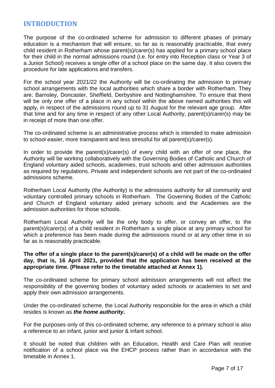# **INTRODUCTION**

The purpose of the co-ordinated scheme for admission to different phases of primary education is a mechanism that will ensure, so far as is reasonably practicable, that every child resident in Rotherham whose parent(s)/carer(s) has applied for a primary school place for their child in the normal admissions round (i.e. for entry into Reception class or Year 3 of a Junior School) receives a single offer of a school place on the same day. It also covers the procedure for late applications and transfers.

For the school year 2021/22 the Authority will be co-ordinating the admission to primary school arrangements with the local authorities which share a border with Rotherham. They are; Barnsley, Doncaster, Sheffield, Derbyshire and Nottinghamshire. To ensure that there will be only one offer of a place in any school within the above named authorities this will apply, in respect of the admissions round up to 31 August for the relevant age group. After that time and for any time in respect of any other Local Authority, parent(s)/carer(s) may be in receipt of more than one offer.

The co-ordinated scheme is an administrative process which is intended to make admission to school easier, more transparent and less stressful for all parent(s)/carer(s).

In order to provide the parent(s)/carer(s) of every child with an offer of one place, the Authority will be working collaboratively with the Governing Bodies of Catholic and Church of England voluntary aided schools, academies, trust schools and other admission authorities as required by regulations. Private and independent schools are not part of the co-ordinated admissions scheme.

Rotherham Local Authority (the Authority) is the admissions authority for all community and voluntary controlled primary schools in Rotherham. The Governing Bodies of the Catholic and Church of England voluntary aided primary schools and the Academies are the admission authorities for those schools.

Rotherham Local Authority will be the only body to offer, or convey an offer, to the parent(s)/carer(s) of a child resident in Rotherham a single place at any primary school for which a preference has been made during the admissions round or at any other time in so far as is reasonably practicable.

## **The offer of a single place to the parent(s)/carer(s) of a child will be made on the offer day, that is, 16 April 2021, provided that the application has been received at the appropriate time. (Please refer to the timetable attached at Annex 1).**

The co-ordinated scheme for primary school admission arrangements will not affect the responsibility of the governing bodies of voluntary aided schools or academies to set and apply their own admission arrangements.

Under the co-ordinated scheme, the Local Authority responsible for the area in which a child resides is known as *the home authority***.**

For the purposes only of this co-ordinated scheme, any reference to a primary school is also a reference to an infant, junior and junior & infant school.

It should be noted that children with an Education, Health and Care Plan will receive notification of a school place via the EHCP process rather than in accordance with the timetable in Annex 1.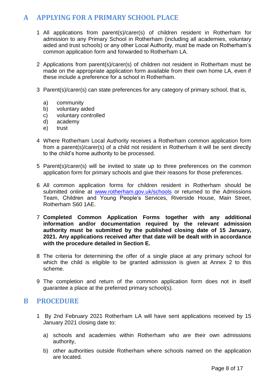# **A APPLYING FOR A PRIMARY SCHOOL PLACE**

- 1 All applications from parent(s)/carer(s) of children resident in Rotherham for admission to any Primary School in Rotherham (including all academies, voluntary aided and trust schools) or any other Local Authority, must be made on Rotherham's common application form and forwarded to Rotherham LA.
- 2 Applications from parent(s)/carer(s) of children not resident in Rotherham must be made on the appropriate application form available from their own home LA, even if these include a preference for a school in Rotherham.
- 3 Parent(s)/carer(s) can state preferences for any category of primary school, that is,
	- a) community
	- b) voluntary aided
	- c) voluntary controlled
	- d) academy
	- e) trust
- 4 Where Rotherham Local Authority receives a Rotherham common application form from a parent(s)/carer(s) of a child not resident in Rotherham it will be sent directly to the child's home authority to be processed.
- 5 Parent(s)/carer(s) will be invited to state up to three preferences on the common application form for primary schools and give their reasons for those preferences.
- 6 All common application forms for children resident in Rotherham should be submitted online at [www.rotherham.gov.uk/schools](http://www.rotherham.gov.uk/schools) or returned to the Admissions Team, Children and Young People's Services, Riverside House, Main Street, Rotherham S60 1AE.
- 7 **Completed Common Application Forms together with any additional information and/or documentation required by the relevant admission authority must be submitted by the published closing date of 15 January, 2021. Any applications received after that date will be dealt with in accordance with the procedure detailed in Section E.**
- 8 The criteria for determining the offer of a single place at any primary school for which the child is eligible to be granted admission is given at Annex 2 to this scheme.
- 9 The completion and return of the common application form does not in itself guarantee a place at the preferred primary school(s).

# **B PROCEDURE**

- 1 By 2nd February 2021 Rotherham LA will have sent applications received by 15 January 2021 closing date to:
	- a) schools and academies within Rotherham who are their own admissions authority,
	- b) other authorities outside Rotherham where schools named on the application are located.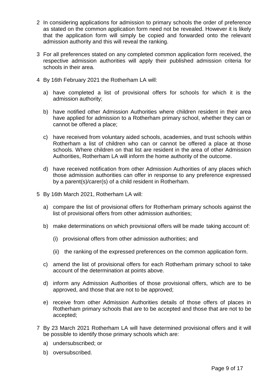- 2 In considering applications for admission to primary schools the order of preference as stated on the common application form need not be revealed. However it is likely that the application form will simply be copied and forwarded onto the relevant admission authority and this will reveal the ranking.
- 3 For all preferences stated on any completed common application form received, the respective admission authorities will apply their published admission criteria for schools in their area.
- 4 By 16th February 2021 the Rotherham LA will:
	- a) have completed a list of provisional offers for schools for which it is the admission authority;
	- b) have notified other Admission Authorities where children resident in their area have applied for admission to a Rotherham primary school, whether they can or cannot be offered a place;
	- c) have received from voluntary aided schools, academies, and trust schools within Rotherham a list of children who can or cannot be offered a place at those schools. Where children on that list are resident in the area of other Admission Authorities, Rotherham LA will inform the home authority of the outcome.
	- d) have received notification from other Admission Authorities of any places which those admission authorities can offer in response to any preference expressed by a parent(s)/carer(s) of a child resident in Rotherham.
- 5 By 16th March 2021, Rotherham LA will:
	- a) compare the list of provisional offers for Rotherham primary schools against the list of provisional offers from other admission authorities;
	- b) make determinations on which provisional offers will be made taking account of:
		- (i) provisional offers from other admission authorities; and
		- (ii) the ranking of the expressed preferences on the common application form.
	- c) amend the list of provisional offers for each Rotherham primary school to take account of the determination at points above.
	- d) inform any Admission Authorities of those provisional offers, which are to be approved, and those that are not to be approved;
	- e) receive from other Admission Authorities details of those offers of places in Rotherham primary schools that are to be accepted and those that are not to be accepted;
- 7 By 23 March 2021 Rotherham LA will have determined provisional offers and it will be possible to identify those primary schools which are:
	- a) undersubscribed; or
	- b) oversubscribed.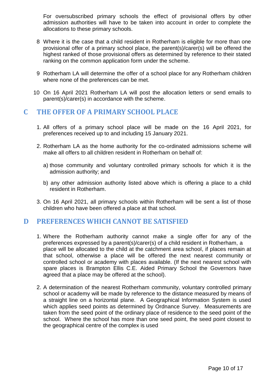For oversubscribed primary schools the effect of provisional offers by other admission authorities will have to be taken into account in order to complete the allocations to these primary schools.

- 8 Where it is the case that a child resident in Rotherham is eligible for more than one provisional offer of a primary school place, the parent(s)/carer(s) will be offered the highest ranked of those provisional offers as determined by reference to their stated ranking on the common application form under the scheme.
- 9 Rotherham LA will determine the offer of a school place for any Rotherham children where none of the preferences can be met.
- 10 On 16 April 2021 Rotherham LA will post the allocation letters or send emails to parent(s)/carer(s) in accordance with the scheme.

# **C THE OFFER OF A PRIMARY SCHOOL PLACE**

- 1. All offers of a primary school place will be made on the 16 April 2021, for preferences received up to and including 15 January 2021.
- 2. Rotherham LA as the home authority for the co-ordinated admissions scheme will make all offers to all children resident in Rotherham on behalf of:
	- a) those community and voluntary controlled primary schools for which it is the admission authority; and
	- b) any other admission authority listed above which is offering a place to a child resident in Rotherham.
- 3. On 16 April 2021, all primary schools within Rotherham will be sent a list of those children who have been offered a place at that school.

# **D PREFERENCES WHICH CANNOT BE SATISFIED**

- 1. Where the Rotherham authority cannot make a single offer for any of the preferences expressed by a parent(s)/carer(s) of a child resident in Rotherham, a place will be allocated to the child at the catchment area school, if places remain at that school, otherwise a place will be offered the next nearest community or controlled school or academy with places available. (If the next nearest school with spare places is Brampton Ellis C.E. Aided Primary School the Governors have agreed that a place may be offered at the school).
- 2. A determination of the nearest Rotherham community, voluntary controlled primary school or academy will be made by reference to the distance measured by means of a straight line on a horizontal plane. A Geographical Information System is used which applies seed points as determined by Ordnance Survey. Measurements are taken from the seed point of the ordinary place of residence to the seed point of the school. Where the school has more than one seed point, the seed point closest to the geographical centre of the complex is used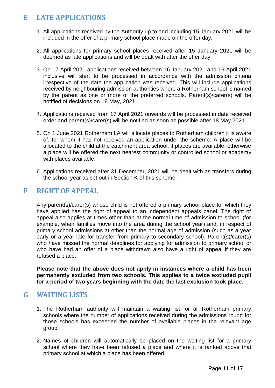# **E LATE APPLICATIONS**

- 1. All applications received by the Authority up to and including 15 January 2021 will be included in the offer of a primary school place made on the offer day.
- 2. All applications for primary school places received after 15 January 2021 will be deemed as late applications and will be dealt with after the offer day.
- 3. On 17 April 2021 applications received between 16 January 2021 and 16 April 2021 inclusive will start to be processed in accordance with the admission criteria irrespective of the date the application was received. This will include applications received by neighbouring admission authorities where a Rotherham school is named by the parent as one or more of the preferred schools. Parent(s)/carer(s) will be notified of decisions on 18 May, 2021.
- 4. Applications received from 17 April 2021 onwards will be processed in date received order and parent(s)/carer(s) will be notified as soon as possible after 18 May 2021.
- 5. On 1 June 2021 Rotherham LA will allocate places to Rotherham children it is aware of, for whom it has not received an application under the scheme. A place will be allocated to the child at the catchment area school, if places are available, otherwise a place will be offered the next nearest community or controlled school or academy with places available.
- 6. Applications received after 31 December, 2021 will be dealt with as transfers during the school year as set out in Section K of this scheme.

# **F RIGHT OF APPEAL**

Any parent(s)/carer(s) whose child is not offered a primary school place for which they have applied has the right of appeal to an independent appeals panel. The right of appeal also applies at times other than at the normal time of admission to school (for example, when families move into the area during the school year) and, in respect of primary school admissions at other than the normal age of admission (such as a year early or a year late for transfer from primary to secondary school). Parent(s)/carer(s) who have missed the normal deadlines for applying for admission to primary school or who have had an offer of a place withdrawn also have a right of appeal if they are refused a place.

**Please note that the above does not apply in instances where a child has been permanently excluded from two schools. This applies to a twice excluded pupil for a period of two years beginning with the date the last exclusion took place.**

# **G WAITING LISTS**

- 1. The Rotherham authority will maintain a waiting list for all Rotherham primary schools where the number of applications received during the admissions round for those schools has exceeded the number of available places in the relevant age group.
- 2. Names of children will automatically be placed on the waiting list for a primary school where they have been refused a place and where it is ranked above that primary school at which a place has been offered.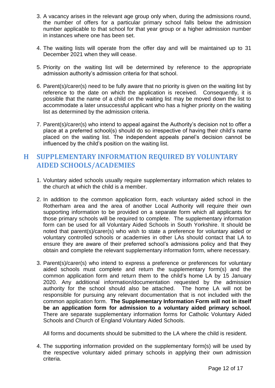- 3. A vacancy arises in the relevant age group only when, during the admissions round, the number of offers for a particular primary school falls below the admission number applicable to that school for that year group or a higher admission number in instances where one has been set.
- 4. The waiting lists will operate from the offer day and will be maintained up to 31 December 2021 when they will cease.
- 5. Priority on the waiting list will be determined by reference to the appropriate admission authority's admission criteria for that school.
- 6. Parent(s)/carer(s) need to be fully aware that no priority is given on the waiting list by reference to the date on which the application is received. Consequently, it is possible that the name of a child on the waiting list may be moved down the list to accommodate a later unsuccessful applicant who has a higher priority on the waiting list as determined by the admission criteria.
- 7. Parent(s)/carer(s) who intend to appeal against the Authority's decision not to offer a place at a preferred school(s) should do so irrespective of having their child's name placed on the waiting list. The independent appeals panel's decision cannot be influenced by the child's position on the waiting list.

# **H SUPPLEMENTARY INFORMATION REQUIRED BY VOLUNTARY AIDED SCHOOLS/ACADEMIES**

- 1. Voluntary aided schools usually require supplementary information which relates to the church at which the child is a member.
- 2. In addition to the common application form, each voluntary aided school in the Rotherham area and the area of another Local Authority will require their own supporting information to be provided on a separate form which all applicants for those primary schools will be required to complete. The supplementary information form can be used for all Voluntary Aided Schools in South Yorkshire. It should be noted that parent(s)/carer(s) who wish to state a preference for voluntary aided or voluntary controlled schools or academies in other LAs should contact that LA to ensure they are aware of their preferred school's admissions policy and that they obtain and complete the relevant supplementary information form, where necessary.
- 3. Parent(s)/carer(s) who intend to express a preference or preferences for voluntary aided schools must complete and return the supplementary form(s) and the common application form and return them to the child's home LA by 15 January 2020. Any additional information/documentation requested by the admission authority for the school should also be attached. The home LA will not be responsible for pursuing any relevant documentation that is not included with the common application form. **The Supplementary Information Form will not in itself be an application form for admission to a voluntary aided primary school.**  There are separate supplementary information forms for Catholic Voluntary Aided Schools and Church of England Voluntary Aided Schools.

All forms and documents should be submitted to the LA where the child is resident.

4. The supporting information provided on the supplementary form(s) will be used by the respective voluntary aided primary schools in applying their own admission criteria.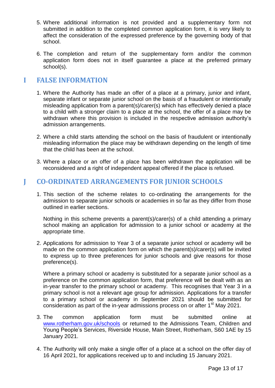- 5. Where additional information is not provided and a supplementary form not submitted in addition to the completed common application form, it is very likely to affect the consideration of the expressed preference by the governing body of that school.
- 6. The completion and return of the supplementary form and/or the common application form does not in itself guarantee a place at the preferred primary school(s).

# **I FALSE INFORMATION**

- 1. Where the Authority has made an offer of a place at a primary, junior and infant, separate infant or separate junior school on the basis of a fraudulent or intentionally misleading application from a parent(s)/carer(s) which has effectively denied a place to a child with a stronger claim to a place at the school, the offer of a place may be withdrawn where this provision is included in the respective admission authority's admission arrangements.
- 2. Where a child starts attending the school on the basis of fraudulent or intentionally misleading information the place may be withdrawn depending on the length of time that the child has been at the school.
- 3. Where a place or an offer of a place has been withdrawn the application will be reconsidered and a right of independent appeal offered if the place is refused.

# **J CO-ORDINATED ARRANGEMENTS FOR JUNIOR SCHOOLS**

1. This section of the scheme relates to co-ordinating the arrangements for the admission to separate junior schools or academies in so far as they differ from those outlined in earlier sections.

Nothing in this scheme prevents a parent(s)/carer(s) of a child attending a primary school making an application for admission to a junior school or academy at the appropriate time.

2. Applications for admission to Year 3 of a separate junior school or academy will be made on the common application form on which the parent(s)/carer(s) will be invited to express up to three preferences for junior schools and give reasons for those preference(s).

Where a primary school or academy is substituted for a separate junior school as a preference on the common application form, that preference will be dealt with as an in-year transfer to the primary school or academy. This recognises that Year 3 in a primary school is not a relevant age group for admission. Applications for a transfer to a primary school or academy in September 2021 should be submitted for consideration as part of the in-year admissions process on or after  $1<sup>st</sup>$  May 2021.

- 3. The common application form must be submitted online at [www.rotherham.gov.uk/schools](http://www.rotherham.gov.uk/schools) or returned to the Admissions Team, Children and Young People's Services, Riverside House, Main Street, Rotherham, S60 1AE by 15 January 2021.
- 4. The Authority will only make a single offer of a place at a school on the offer day of 16 April 2021, for applications received up to and including 15 January 2021.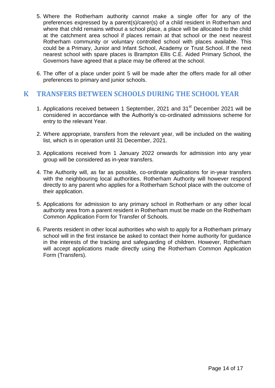- 5. Where the Rotherham authority cannot make a single offer for any of the preferences expressed by a parent(s)/carer(s) of a child resident in Rotherham and where that child remains without a school place, a place will be allocated to the child at the catchment area school if places remain at that school or the next nearest Rotherham community or voluntary controlled school with places available. This could be a Primary, Junior and Infant School, Academy or Trust School. If the next nearest school with spare places is Brampton Ellis C.E. Aided Primary School, the Governors have agreed that a place may be offered at the school.
- 6. The offer of a place under point 5 will be made after the offers made for all other preferences to primary and junior schools.

# **K TRANSFERS BETWEEN SCHOOLS DURING THE SCHOOL YEAR**

- 1. Applications received between 1 September, 2021 and 31<sup>st</sup> December 2021 will be considered in accordance with the Authority's co-ordinated admissions scheme for entry to the relevant Year.
- 2. Where appropriate, transfers from the relevant year, will be included on the waiting list, which is in operation until 31 December, 2021.
- 3. Applications received from 1 January 2022 onwards for admission into any year group will be considered as in-year transfers.
- 4. The Authority will, as far as possible, co-ordinate applications for in-year transfers with the neighbouring local authorities. Rotherham Authority will however respond directly to any parent who applies for a Rotherham School place with the outcome of their application.
- 5. Applications for admission to any primary school in Rotherham or any other local authority area from a parent resident in Rotherham must be made on the Rotherham Common Application Form for Transfer of Schools.
- 6. Parents resident in other local authorities who wish to apply for a Rotherham primary school will in the first instance be asked to contact their home authority for guidance in the interests of the tracking and safeguarding of children. However, Rotherham will accept applications made directly using the Rotherham Common Application Form (Transfers).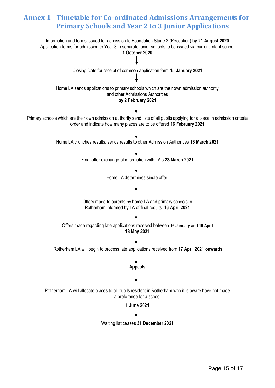# **Annex 1 Timetable for Co-ordinated Admissions Arrangements for Primary Schools and Year 2 to 3 Junior Applications**

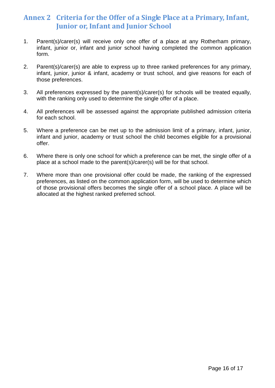# **Annex 2 Criteria for the Offer of a Single Place at a Primary, Infant, Junior or, Infant and Junior School**

- 1. Parent(s)/carer(s) will receive only one offer of a place at any Rotherham primary, infant, junior or, infant and junior school having completed the common application form.
- 2. Parent(s)/carer(s) are able to express up to three ranked preferences for any primary, infant, junior, junior & infant, academy or trust school, and give reasons for each of those preferences.
- 3. All preferences expressed by the parent(s)/carer(s) for schools will be treated equally, with the ranking only used to determine the single offer of a place.
- 4. All preferences will be assessed against the appropriate published admission criteria for each school.
- 5. Where a preference can be met up to the admission limit of a primary, infant, junior, infant and junior, academy or trust school the child becomes eligible for a provisional offer.
- 6. Where there is only one school for which a preference can be met, the single offer of a place at a school made to the parent(s)/carer(s) will be for that school.
- 7. Where more than one provisional offer could be made, the ranking of the expressed preferences, as listed on the common application form, will be used to determine which of those provisional offers becomes the single offer of a school place. A place will be allocated at the highest ranked preferred school.